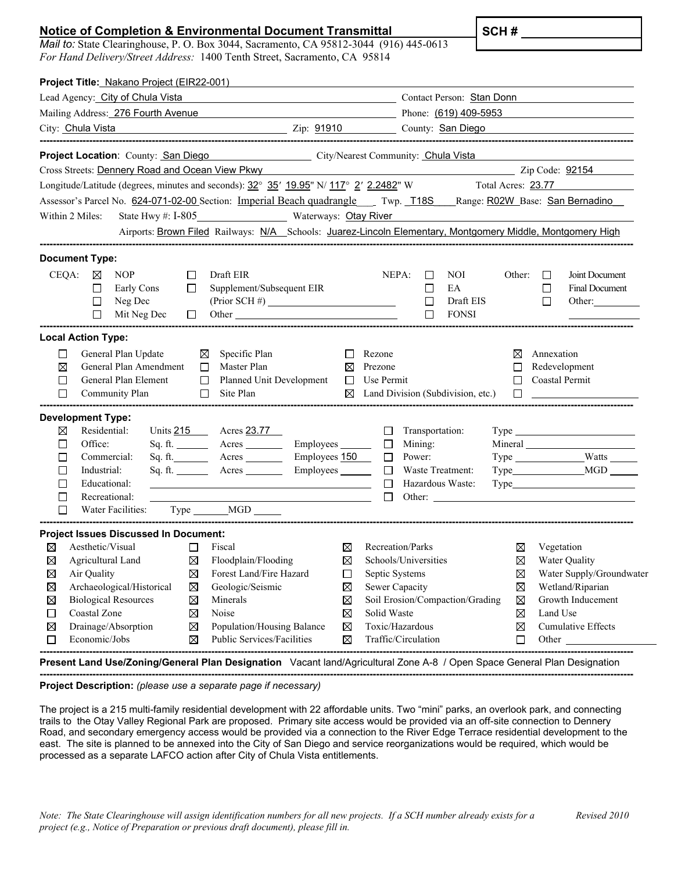## **Notice of Completion & Environmental Document Transmittal**

*Mail to:* State Clearinghouse, P. O. Box 3044, Sacramento, CA 95812-3044 (916) 445-0613 *For Hand Delivery/Street Address:* 1400 Tenth Street, Sacramento, CA 95814

**SCH #** 

| Project Title: Nakano Project (EIR22-001)                                                                                                                                                                                    |                       |                                                                                                                                                                                                                                    |                                                                                                                                                                                                                                |                                                                                                                                                                                                                               |  |
|------------------------------------------------------------------------------------------------------------------------------------------------------------------------------------------------------------------------------|-----------------------|------------------------------------------------------------------------------------------------------------------------------------------------------------------------------------------------------------------------------------|--------------------------------------------------------------------------------------------------------------------------------------------------------------------------------------------------------------------------------|-------------------------------------------------------------------------------------------------------------------------------------------------------------------------------------------------------------------------------|--|
| Lead Agency: City of Chula Vista                                                                                                                                                                                             |                       |                                                                                                                                                                                                                                    | Contact Person: Stan Donn                                                                                                                                                                                                      |                                                                                                                                                                                                                               |  |
|                                                                                                                                                                                                                              |                       | Mailing Address: 276 Fourth Avenue <b>2006</b> and 2007 and 2008 and 2008 and 2008 and 2008 and 2008 and 2008 and 2008 and 2008 and 2008 and 2008 and 2008 and 2008 and 2008 and 2008 and 2008 and 2008 and 2008 and 2008 and 2008 |                                                                                                                                                                                                                                |                                                                                                                                                                                                                               |  |
| City: Chula Vista <b>Chula Vista</b> Content Content City: 81910 County: San Diego                                                                                                                                           |                       |                                                                                                                                                                                                                                    |                                                                                                                                                                                                                                |                                                                                                                                                                                                                               |  |
| Project Location: County: San Diego City/Nearest Community: Chula Vista                                                                                                                                                      |                       |                                                                                                                                                                                                                                    |                                                                                                                                                                                                                                |                                                                                                                                                                                                                               |  |
| Cross Streets: Dennery Road and Ocean View Pkwy                                                                                                                                                                              |                       |                                                                                                                                                                                                                                    |                                                                                                                                                                                                                                | Zip Code: 92154                                                                                                                                                                                                               |  |
| Longitude/Latitude (degrees, minutes and seconds): 32° 35′ 19.95" N/ 117° 2′ 2.2482" W                                                                                                                                       |                       | Total Acres: 23.77                                                                                                                                                                                                                 |                                                                                                                                                                                                                                |                                                                                                                                                                                                                               |  |
| Assessor's Parcel No. 624-071-02-00 Section: Imperial Beach quadrangle Twp. T18S Range: R02W Base: San Bernadino                                                                                                             |                       |                                                                                                                                                                                                                                    |                                                                                                                                                                                                                                |                                                                                                                                                                                                                               |  |
| State Hwy #: I-805 Waterways: Otay River<br>Within 2 Miles:                                                                                                                                                                  |                       |                                                                                                                                                                                                                                    |                                                                                                                                                                                                                                |                                                                                                                                                                                                                               |  |
| Airports: Brown Filed Railways: N/A Schools: Juarez-Lincoln Elementary, Montgomery Middle, Montgomery High                                                                                                                   |                       |                                                                                                                                                                                                                                    |                                                                                                                                                                                                                                |                                                                                                                                                                                                                               |  |
| <b>Document Type:</b>                                                                                                                                                                                                        |                       |                                                                                                                                                                                                                                    |                                                                                                                                                                                                                                |                                                                                                                                                                                                                               |  |
| CEQA:<br><b>NOP</b><br>Draft EIR<br>⊠<br>П<br>Supplement/Subsequent EIR<br>$\Box$<br>Early Cons<br>П<br>Neg Dec<br>$\Box$<br>Mit Neg Dec<br>$\Box$<br>Other<br>$\perp$                                                       | $(Prior SCH \#)$      | NEPA:<br>П<br>$\Box$<br>$\Box$<br>$\Box$                                                                                                                                                                                           | NOI.<br>Other:<br>EA<br>Draft EIS<br>FONSI                                                                                                                                                                                     | Joint Document<br>$\Box$<br>$\Box$<br><b>Final Document</b><br>$\Box$<br>Other:                                                                                                                                               |  |
| <b>Local Action Type:</b>                                                                                                                                                                                                    |                       |                                                                                                                                                                                                                                    |                                                                                                                                                                                                                                |                                                                                                                                                                                                                               |  |
| General Plan Update<br>$\Box$<br>⊠<br>Specific Plan<br>General Plan Amendment<br>Master Plan<br>⊠<br>П<br>General Plan Element<br>$\Box$<br>Planned Unit Development<br>□<br>$\Box$<br>$\Box$<br>Site Plan<br>Community Plan | $\Box$<br>⊠<br>$\Box$ | Rezone<br>Prezone<br>Use Permit<br>$\boxtimes$ Land Division (Subdivision, etc.)                                                                                                                                                   | ⊠<br>П<br>□                                                                                                                                                                                                                    | Annexation<br>Redevelopment<br>Coastal Permit                                                                                                                                                                                 |  |
| <b>Development Type:</b>                                                                                                                                                                                                     |                       |                                                                                                                                                                                                                                    |                                                                                                                                                                                                                                |                                                                                                                                                                                                                               |  |
| Residential:<br>Units 215 Acres 23.77<br>⊠                                                                                                                                                                                   |                       | Transportation:<br>$\Box$                                                                                                                                                                                                          |                                                                                                                                                                                                                                | $Type \_$                                                                                                                                                                                                                     |  |
| Office:<br>Sq. ft. _________ Acres __________ Employees _______<br>П                                                                                                                                                         |                       | $\Box$<br>Mining:                                                                                                                                                                                                                  |                                                                                                                                                                                                                                |                                                                                                                                                                                                                               |  |
| Commercial:<br>Sq. ft. Acres Employees 150<br>$\Box$<br>Industrial:<br>Sq. ft. __________ Acres _____________ Employees ________<br>П                                                                                        |                       | Power:<br>$\Box$<br>$\Box$<br>Waste Treatment:                                                                                                                                                                                     |                                                                                                                                                                                                                                | Type Watts                                                                                                                                                                                                                    |  |
| Educational:<br>П<br><u> 1989 - Johann Barbara, martin amerikan basar dan berasal dalam basa dalam basa dalam basa dalam basa dalam b</u>                                                                                    |                       | $\Box$<br>Hazardous Waste:                                                                                                                                                                                                         |                                                                                                                                                                                                                                | Type Type and the Type of the Type of the Type of the Type of the Type of the Type of the Type of the Type of the Type of the Type of the Type of the Type of the Type of the Type of the Type of the Type of the Type of the |  |
| П<br>Recreational:                                                                                                                                                                                                           |                       | $\Box$                                                                                                                                                                                                                             | Other: the contract of the contract of the contract of the contract of the contract of the contract of the contract of the contract of the contract of the contract of the contract of the contract of the contract of the con |                                                                                                                                                                                                                               |  |
| □<br>Water Facilities:<br>Type ________ MGD ______                                                                                                                                                                           |                       |                                                                                                                                                                                                                                    |                                                                                                                                                                                                                                |                                                                                                                                                                                                                               |  |
| <b>Project Issues Discussed In Document:</b>                                                                                                                                                                                 |                       |                                                                                                                                                                                                                                    |                                                                                                                                                                                                                                |                                                                                                                                                                                                                               |  |
| Aesthetic/Visual<br>Fiscal<br>$\Box$<br>⊠                                                                                                                                                                                    | ⊠                     | Recreation/Parks                                                                                                                                                                                                                   | $\bowtie$                                                                                                                                                                                                                      | Vegetation                                                                                                                                                                                                                    |  |
| ⊠<br>Floodplain/Flooding<br>$\boxtimes$<br>Agricultural Land                                                                                                                                                                 | ⊠                     | Schools/Universities                                                                                                                                                                                                               | ⊠                                                                                                                                                                                                                              | <b>Water Quality</b>                                                                                                                                                                                                          |  |
| Air Quality<br>Forest Land/Fire Hazard<br>$\boxtimes$<br>⊠<br>Archaeological/Historical<br>Geologic/Seismic                                                                                                                  | $\Box$                | Septic Systems<br><b>Sewer Capacity</b>                                                                                                                                                                                            | $\boxtimes$<br>⊠                                                                                                                                                                                                               | Water Supply/Groundwater<br>Wetland/Riparian                                                                                                                                                                                  |  |
| $\boxtimes$<br>⊠<br><b>Biological Resources</b><br>Minerals<br>$\boxtimes$<br>⊠                                                                                                                                              | ⊠<br>$\boxtimes$      | Soil Erosion/Compaction/Grading                                                                                                                                                                                                    | ⊠                                                                                                                                                                                                                              | Growth Inducement                                                                                                                                                                                                             |  |
| Coastal Zone<br>Noise<br>⊠<br>□                                                                                                                                                                                              | $\boxtimes$           | Solid Waste                                                                                                                                                                                                                        | ⊠                                                                                                                                                                                                                              | Land Use                                                                                                                                                                                                                      |  |
| Drainage/Absorption<br>Population/Housing Balance<br>$\boxtimes$<br>⊠                                                                                                                                                        | $\boxtimes$           | Toxic/Hazardous                                                                                                                                                                                                                    | ⊠                                                                                                                                                                                                                              | Cumulative Effects                                                                                                                                                                                                            |  |
| Economic/Jobs<br>Public Services/Facilities<br>⊠<br>□                                                                                                                                                                        | $\boxtimes$           | Traffic/Circulation                                                                                                                                                                                                                | ΙI                                                                                                                                                                                                                             | Other                                                                                                                                                                                                                         |  |
|                                                                                                                                                                                                                              |                       |                                                                                                                                                                                                                                    | --------------------------------------                                                                                                                                                                                         | -----------------------                                                                                                                                                                                                       |  |

**Present Land Use/Zoning/General Plan Designation** Vacant land/Agricultural Zone A-8 / Open Space General Plan Designation

**------------------------------------------------------------------------------------------------------------------------------------------------------------------------------------ Project Description:** *(please use a separate page if necessary)*

The project is a 215 multi-family residential development with 22 affordable units. Two "mini" parks, an overlook park, and connecting trails to the Otay Valley Regional Park are proposed. Primary site access would be provided via an off-site connection to Dennery Road, and secondary emergency access would be provided via a connection to the River Edge Terrace residential development to the east. The site is planned to be annexed into the City of San Diego and service reorganizations would be required, which would be processed as a separate LAFCO action after City of Chula Vista entitlements.